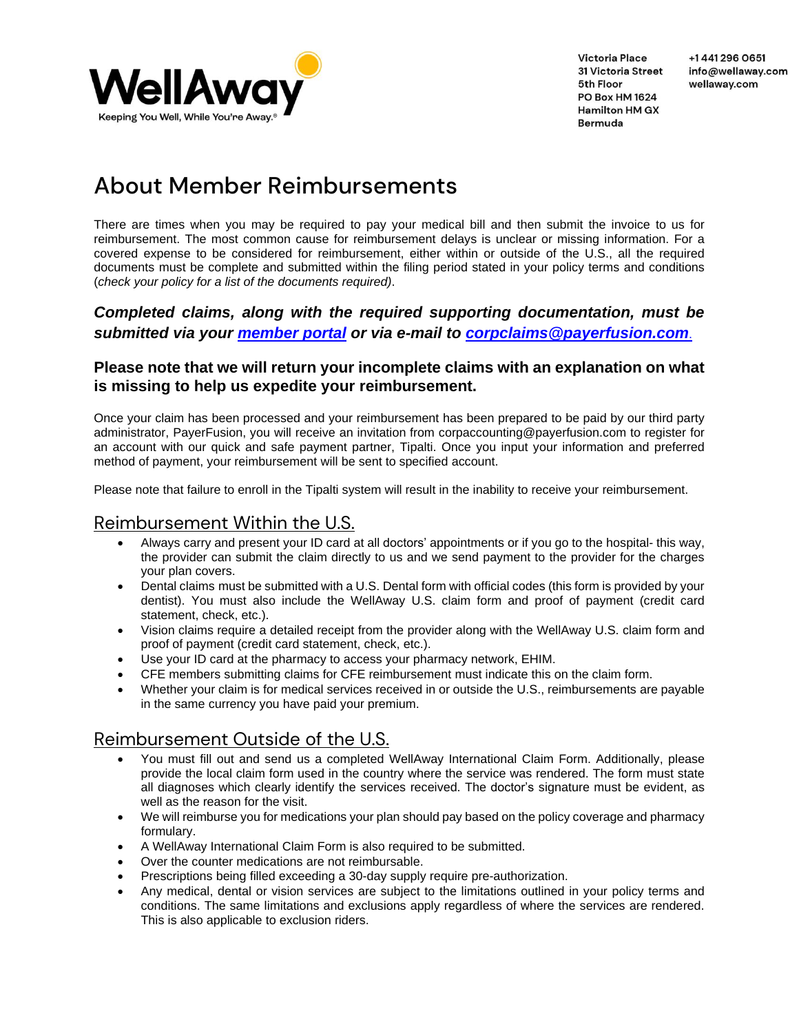

# About Member Reimbursements

There are times when you may be required to pay your medical bill and then submit the invoice to us for reimbursement. The most common cause for reimbursement delays is unclear or missing information. For a covered expense to be considered for reimbursement, either within or outside of the U.S., all the required documents must be complete and submitted within the filing period stated in your policy terms and conditions (*check your policy for a list of the documents required)*.

### *Completed claims, along with the required supporting documentation, must be submitted via your [member portal](httphttps://portal.wellaway.com/logins:/portal.wellaway.com/login) or via e-mail to [corpclaims@payerfusion.com](mailto:corpclaims@payerfusion.com)*.

#### **Please note that we will return your incomplete claims with an explanation on what is missing to help us expedite your reimbursement.**

Once your claim has been processed and your reimbursement has been prepared to be paid by our third party administrator, PayerFusion, you will receive an invitation from [corpaccounting@payerfusion.com](mailto:corpaccounting@payerfusion.com) to register for an account with our quick and safe payment partner, Tipalti. Once you input your information and preferred method of payment, your reimbursement will be sent to specified account.

Please note that failure to enroll in the Tipalti system will result in the inability to receive your reimbursement.

# Reimbursement Within the U.S.

- Always carry and present your ID card at all doctors' appointments or if you go to the hospital- this way, the provider can submit the claim directly to us and we send payment to the provider for the charges your plan covers.
- Dental claims must be submitted with a U.S. Dental form with official codes (this form is provided by your dentist). You must also include the WellAway U.S. claim form and proof of payment (credit card statement, check, etc.).
- Vision claims require a detailed receipt from the provider along with the WellAway U.S. claim form and proof of payment (credit card statement, check, etc.).
- Use your ID card at the pharmacy to access your pharmacy network, EHIM.
- CFE members submitting claims for CFE reimbursement must indicate this on the claim form.
- Whether your claim is for medical services received in or outside the U.S., reimbursements are payable in the same currency you have paid your premium.

## Reimbursement Outside of the U.S.

- You must fill out and send us a completed WellAway International Claim Form. Additionally, please provide the local claim form used in the country where the service was rendered. The form must state all diagnoses which clearly identify the services received. The doctor's signature must be evident, as well as the reason for the visit.
- We will reimburse you for medications your plan should pay based on the policy coverage and pharmacy formulary.
- A WellAway International Claim Form is also required to be submitted.
- Over the counter medications are not reimbursable.
- Prescriptions being filled exceeding a 30-day supply require pre-authorization.
- Any medical, dental or vision services are subject to the limitations outlined in your policy terms and conditions. The same limitations and exclusions apply regardless of where the services are rendered. This is also applicable to exclusion riders.